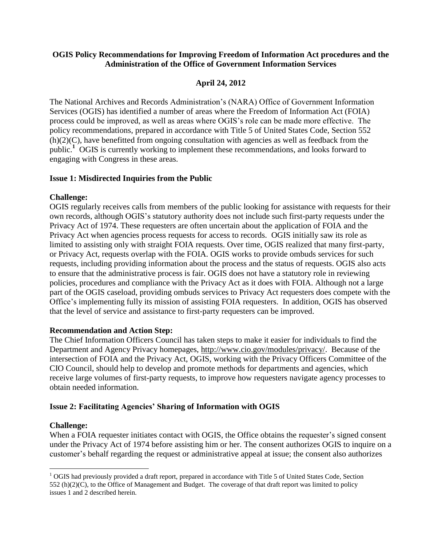### **OGIS Policy Recommendations for Improving Freedom of Information Act procedures and the Administration of the Office of Government Information Services**

# **April 24, 2012**

The National Archives and Records Administration's (NARA) Office of Government Information Services (OGIS) has identified a number of areas where the Freedom of Information Act (FOIA) process could be improved, as well as areas where OGIS's role can be made more effective. The policy recommendations, prepared in accordance with Title 5 of United States Code, Section 552 (h)(2)(C), have benefitted from ongoing consultation with agencies as well as feedback from the public.<sup>1</sup> OGIS is currently working to implement these recommendations, and looks forward to engaging with Congress in these areas.

### **Issue 1: Misdirected Inquiries from the Public**

### **Challenge:**

OGIS regularly receives calls from members of the public looking for assistance with requests for their own records, although OGIS's statutory authority does not include such first-party requests under the Privacy Act of 1974. These requesters are often uncertain about the application of FOIA and the Privacy Act when agencies process requests for access to records. OGIS initially saw its role as limited to assisting only with straight FOIA requests. Over time, OGIS realized that many first-party, or Privacy Act, requests overlap with the FOIA. OGIS works to provide ombuds services for such requests, including providing information about the process and the status of requests. OGIS also acts to ensure that the administrative process is fair. OGIS does not have a statutory role in reviewing policies, procedures and compliance with the Privacy Act as it does with FOIA. Although not a large part of the OGIS caseload, providing ombuds services to Privacy Act requesters does compete with the Office's implementing fully its mission of assisting FOIA requesters. In addition, OGIS has observed that the level of service and assistance to first-party requesters can be improved.

#### **Recommendation and Action Step:**

The Chief Information Officers Council has taken steps to make it easier for individuals to find the Department and Agency Privacy homepages, [http://www.cio.gov/modules/privacy/.](http://www.cio.gov/modules/privacy/) Because of the intersection of FOIA and the Privacy Act, OGIS, working with the Privacy Officers Committee of the CIO Council, should help to develop and promote methods for departments and agencies, which receive large volumes of first-party requests, to improve how requesters navigate agency processes to obtain needed information.

# **Issue 2: Facilitating Agencies' Sharing of Information with OGIS**

# **Challenge:**

When a FOIA requester initiates contact with OGIS, the Office obtains the requester's signed consent under the Privacy Act of 1974 before assisting him or her. The consent authorizes OGIS to inquire on a customer's behalf regarding the request or administrative appeal at issue; the consent also authorizes

 $\overline{a}$ <sup>1</sup> OGIS had previously provided a draft report, prepared in accordance with Title 5 of United States Code, Section 552 (h)(2)(C), to the Office of Management and Budget. The coverage of that draft report was limited to policy issues 1 and 2 described herein.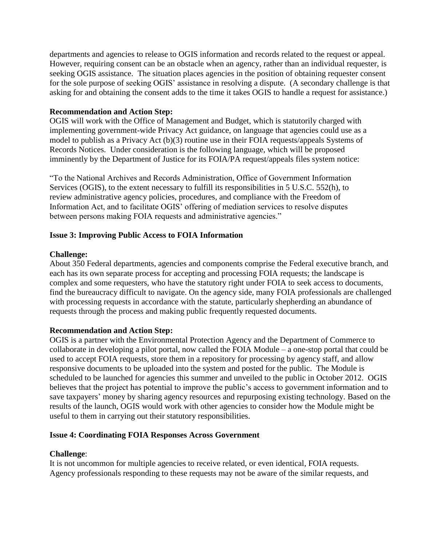departments and agencies to release to OGIS information and records related to the request or appeal. However, requiring consent can be an obstacle when an agency, rather than an individual requester, is seeking OGIS assistance. The situation places agencies in the position of obtaining requester consent for the sole purpose of seeking OGIS' assistance in resolving a dispute. (A secondary challenge is that asking for and obtaining the consent adds to the time it takes OGIS to handle a request for assistance.)

### **Recommendation and Action Step:**

OGIS will work with the Office of Management and Budget, which is statutorily charged with implementing government-wide Privacy Act guidance, on language that agencies could use as a model to publish as a Privacy Act (b)(3) routine use in their FOIA requests/appeals Systems of Records Notices. Under consideration is the following language, which will be proposed imminently by the Department of Justice for its FOIA/PA request/appeals files system notice:

"To the National Archives and Records Administration, Office of Government Information Services (OGIS), to the extent necessary to fulfill its responsibilities in 5 U.S.C. 552(h), to review administrative agency policies, procedures, and compliance with the Freedom of Information Act, and to facilitate OGIS' offering of mediation services to resolve disputes between persons making FOIA requests and administrative agencies."

# **Issue 3: Improving Public Access to FOIA Information**

# **Challenge:**

About 350 Federal departments, agencies and components comprise the Federal executive branch, and each has its own separate process for accepting and processing FOIA requests; the landscape is complex and some requesters, who have the statutory right under FOIA to seek access to documents, find the bureaucracy difficult to navigate. On the agency side, many FOIA professionals are challenged with processing requests in accordance with the statute, particularly shepherding an abundance of requests through the process and making public frequently requested documents.

#### **Recommendation and Action Step:**

OGIS is a partner with the Environmental Protection Agency and the Department of Commerce to collaborate in developing a pilot portal, now called the FOIA Module – a one-stop portal that could be used to accept FOIA requests, store them in a repository for processing by agency staff, and allow responsive documents to be uploaded into the system and posted for the public. The Module is scheduled to be launched for agencies this summer and unveiled to the public in October 2012. OGIS believes that the project has potential to improve the public's access to government information and to save taxpayers' money by sharing agency resources and repurposing existing technology. Based on the results of the launch, OGIS would work with other agencies to consider how the Module might be useful to them in carrying out their statutory responsibilities.

#### **Issue 4: Coordinating FOIA Responses Across Government**

# **Challenge**:

It is not uncommon for multiple agencies to receive related, or even identical, FOIA requests. Agency professionals responding to these requests may not be aware of the similar requests, and